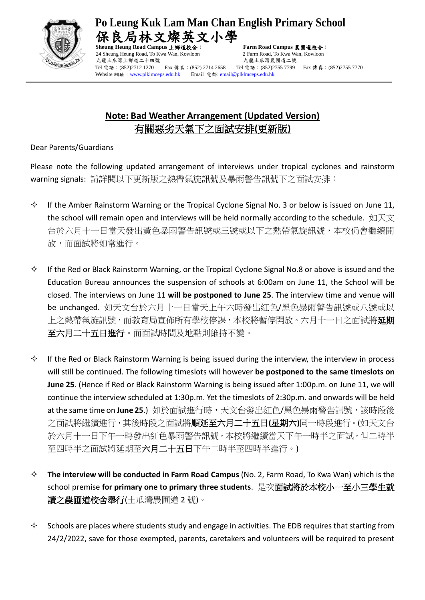

**Po Leung Kuk Lam Man Chan English Primary School**  局林文燦英文小學

24 Sheung Heung Road, To Kwa Wan, Kowloon 2 Farm Road, To Kwa Wan, Kowloon 九龍土瓜灣上鄉道二十四號 有一個 不能出现 人龍土瓜灣農圃道二號 Tel 電話:(852)2712 1270 Fax 傳真:(852) 2714 2658 Tel 電話:(852)2755 7799 Fax 傳真:(852)2755 7770 Website 網址: [www.plklmceps.edu.hk](http://www.plklmceps.edu.hk/) Email 電郵[: email@plklmceps.edu.hk](mailto:email@plklmceps.edu.hk)

**Sheung Heung Road Campus** 上鄉道校舍: **Farm Road Campus** 農圃道校舍:

## **Note: Bad Weather Arrangement (Updated Version)** 有關惡劣天氣下之面試安排**(**更新版**)**

Dear Parents/Guardians

Please note the following updated arrangement of interviews under tropical cyclones and rainstorm warning signals: 請詳閱以下更新版之熱帶氣旋訊號及暴雨警告訊號下之面試安排:

- $\Diamond$  If the Amber Rainstorm Warning or the Tropical Cyclone Signal No. 3 or below is issued on June 11, the school will remain open and interviews will be held normally according to the schedule. 如天文 台於六月十一日當天發出黃色暴雨警告訊號或三號或以下之熱帶氣旋訊號,本校仍會繼續開 放,而面試將如常進行。
- $\Diamond$  If the Red or Black Rainstorm Warning, or the Tropical Cyclone Signal No.8 or above is issued and the Education Bureau announces the suspension of schools at 6:00am on June 11, the School will be closed. The interviews on June 11 **will be postponed to June 25**. The interview time and venue will be unchanged. 如天文台於六月十一日當天上午六時發出紅色/黑色暴雨警告訊號或八號或以 上之熱帶氣旋訊號,而教育局宣佈所有學校停課,本校將暫停開放。六月十一日之面試將**延期** 至六月二十五日進行。而面試時間及地點則維持不變。
- $\Diamond$  If the Red or Black Rainstorm Warning is being issued during the interview, the interview in process will still be continued. The following timeslots will however **be postponed to the same timeslots on June 25**. (Hence if Red or Black Rainstorm Warning is being issued after 1:00p.m. on June 11, we will continue the interview scheduled at 1:30p.m. Yet the timeslots of 2:30p.m. and onwards will be held at the same time on June 25.) 如於面試進行時,天文台發出紅色/黑色暴雨警告訊號,該時段後 之面試將繼續進行,其後時段之面試將順延至六月二十五日**(**星期六**)**同一時段進行。(如天文台 於六月十一日下午一時發出紅色暴雨警告訊號,本校將繼續當天下午一時半之面試,但二時半 至四時半之面試將延期至六月二十五日下午二時半至四時半進行。)
- **The interview will be conducted in Farm Road Campus** (No. 2, Farm Road, To Kwa Wan) which is the school premise **for primary one to primary three students**. 是次面試將於本校小一至小三學生就 讀之農圃道校舍舉行(土瓜灣農圃道 2 號)。
- $\Diamond$  Schools are places where students study and engage in activities. The EDB requires that starting from 24/2/2022, save for those exempted, parents, caretakers and volunteers will be required to present